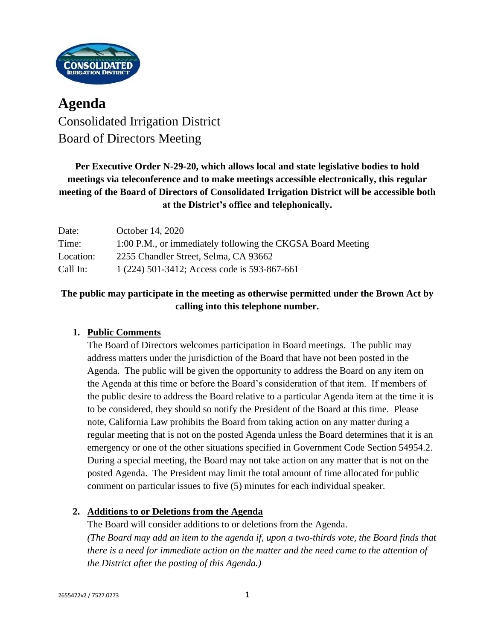

# **Agenda** Consolidated Irrigation District Board of Directors Meeting

**Per Executive Order N-29-20, which allows local and state legislative bodies to hold meetings via teleconference and to make meetings accessible electronically, this regular meeting of the Board of Directors of Consolidated Irrigation District will be accessible both at the District's office and telephonically.**

| Date:     | October 14, 2020                                            |
|-----------|-------------------------------------------------------------|
| Time:     | 1:00 P.M., or immediately following the CKGSA Board Meeting |
| Location: | 2255 Chandler Street, Selma, CA 93662                       |
| Call In:  | 1 (224) 501-3412; Access code is 593-867-661                |

# **The public may participate in the meeting as otherwise permitted under the Brown Act by calling into this telephone number.**

## **1. Public Comments**

The Board of Directors welcomes participation in Board meetings. The public may address matters under the jurisdiction of the Board that have not been posted in the Agenda. The public will be given the opportunity to address the Board on any item on the Agenda at this time or before the Board's consideration of that item. If members of the public desire to address the Board relative to a particular Agenda item at the time it is to be considered, they should so notify the President of the Board at this time. Please note, California Law prohibits the Board from taking action on any matter during a regular meeting that is not on the posted Agenda unless the Board determines that it is an emergency or one of the other situations specified in Government Code Section 54954.2. During a special meeting, the Board may not take action on any matter that is not on the posted Agenda. The President may limit the total amount of time allocated for public comment on particular issues to five (5) minutes for each individual speaker.

#### **2. Additions to or Deletions from the Agenda**

The Board will consider additions to or deletions from the Agenda. *(The Board may add an item to the agenda if, upon a two-thirds vote, the Board finds that there is a need for immediate action on the matter and the need came to the attention of the District after the posting of this Agenda.)*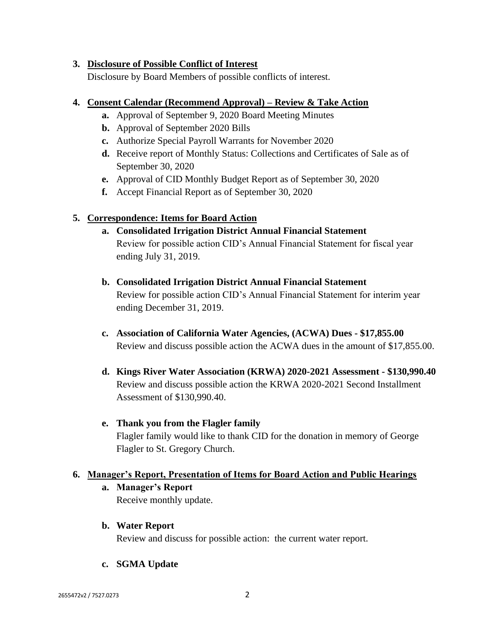#### **3. Disclosure of Possible Conflict of Interest**

Disclosure by Board Members of possible conflicts of interest.

#### **4. Consent Calendar (Recommend Approval) – Review & Take Action**

- **a.** Approval of September 9, 2020 Board Meeting Minutes
- **b.** Approval of September 2020 Bills
- **c.** Authorize Special Payroll Warrants for November 2020
- **d.** Receive report of Monthly Status: Collections and Certificates of Sale as of September 30, 2020
- **e.** Approval of CID Monthly Budget Report as of September 30, 2020
- **f.** Accept Financial Report as of September 30, 2020

## **5. Correspondence: Items for Board Action**

- **a. Consolidated Irrigation District Annual Financial Statement** Review for possible action CID's Annual Financial Statement for fiscal year ending July 31, 2019.
- **b. Consolidated Irrigation District Annual Financial Statement** Review for possible action CID's Annual Financial Statement for interim year ending December 31, 2019.
- **c. Association of California Water Agencies, (ACWA) Dues - \$17,855.00** Review and discuss possible action the ACWA dues in the amount of \$17,855.00.
- **d. Kings River Water Association (KRWA) 2020-2021 Assessment - \$130,990.40** Review and discuss possible action the KRWA 2020-2021 Second Installment Assessment of \$130,990.40.

# **e. Thank you from the Flagler family** Flagler family would like to thank CID for the donation in memory of George Flagler to St. Gregory Church.

#### **6. Manager's Report, Presentation of Items for Board Action and Public Hearings**

**a. Manager's Report**

Receive monthly update.

**b. Water Report**

Review and discuss for possible action: the current water report.

**c. SGMA Update**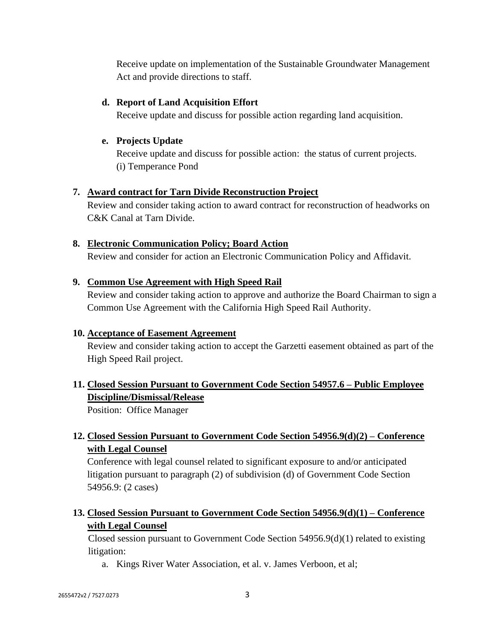Receive update on implementation of the Sustainable Groundwater Management Act and provide directions to staff.

## **d. Report of Land Acquisition Effort**

Receive update and discuss for possible action regarding land acquisition.

## **e. Projects Update**

Receive update and discuss for possible action: the status of current projects. (i) Temperance Pond

## **7. Award contract for Tarn Divide Reconstruction Project**

Review and consider taking action to award contract for reconstruction of headworks on C&K Canal at Tarn Divide.

## **8. Electronic Communication Policy; Board Action**

Review and consider for action an Electronic Communication Policy and Affidavit.

## **9. Common Use Agreement with High Speed Rail**

Review and consider taking action to approve and authorize the Board Chairman to sign a Common Use Agreement with the California High Speed Rail Authority.

#### **10. Acceptance of Easement Agreement**

Review and consider taking action to accept the Garzetti easement obtained as part of the High Speed Rail project.

# **11. Closed Session Pursuant to Government Code Section 54957.6 – Public Employee Discipline/Dismissal/Release**

Position: Office Manager

# **12. Closed Session Pursuant to Government Code Section 54956.9(d)(2) – Conference with Legal Counsel**

Conference with legal counsel related to significant exposure to and/or anticipated litigation pursuant to paragraph (2) of subdivision (d) of Government Code Section 54956.9: (2 cases)

# **13. Closed Session Pursuant to Government Code Section 54956.9(d)(1) – Conference with Legal Counsel**

Closed session pursuant to Government Code Section 54956.9(d)(1) related to existing litigation:

a. Kings River Water Association, et al. v. James Verboon, et al;